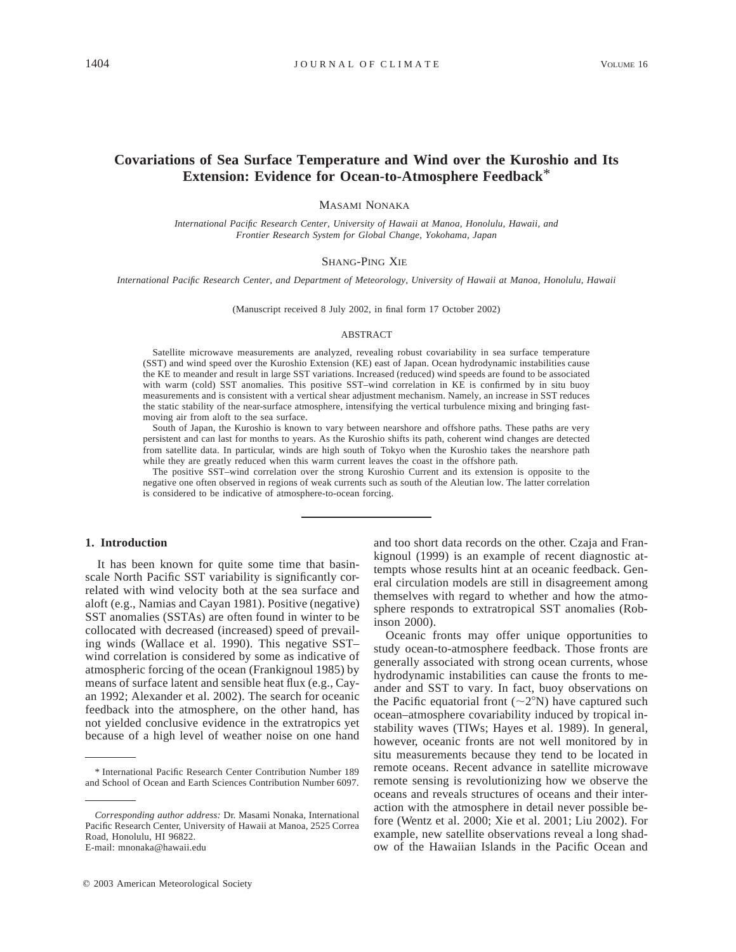# **Covariations of Sea Surface Temperature and Wind over the Kuroshio and Its Extension: Evidence for Ocean-to-Atmosphere Feedback**\*

MASAMI NONAKA

*International Pacific Research Center, University of Hawaii at Manoa, Honolulu, Hawaii, and Frontier Research System for Global Change, Yokohama, Japan*

#### SHANG-PING XIE

*International Pacific Research Center, and Department of Meteorology, University of Hawaii at Manoa, Honolulu, Hawaii*

(Manuscript received 8 July 2002, in final form 17 October 2002)

#### ABSTRACT

Satellite microwave measurements are analyzed, revealing robust covariability in sea surface temperature (SST) and wind speed over the Kuroshio Extension (KE) east of Japan. Ocean hydrodynamic instabilities cause the KE to meander and result in large SST variations. Increased (reduced) wind speeds are found to be associated with warm (cold) SST anomalies. This positive SST–wind correlation in KE is confirmed by in situ buoy measurements and is consistent with a vertical shear adjustment mechanism. Namely, an increase in SST reduces the static stability of the near-surface atmosphere, intensifying the vertical turbulence mixing and bringing fastmoving air from aloft to the sea surface.

South of Japan, the Kuroshio is known to vary between nearshore and offshore paths. These paths are very persistent and can last for months to years. As the Kuroshio shifts its path, coherent wind changes are detected from satellite data. In particular, winds are high south of Tokyo when the Kuroshio takes the nearshore path while they are greatly reduced when this warm current leaves the coast in the offshore path.

The positive SST–wind correlation over the strong Kuroshio Current and its extension is opposite to the negative one often observed in regions of weak currents such as south of the Aleutian low. The latter correlation is considered to be indicative of atmosphere-to-ocean forcing.

## **1. Introduction**

It has been known for quite some time that basinscale North Pacific SST variability is significantly correlated with wind velocity both at the sea surface and aloft (e.g., Namias and Cayan 1981). Positive (negative) SST anomalies (SSTAs) are often found in winter to be collocated with decreased (increased) speed of prevailing winds (Wallace et al. 1990). This negative SST– wind correlation is considered by some as indicative of atmospheric forcing of the ocean (Frankignoul 1985) by means of surface latent and sensible heat flux (e.g., Cayan 1992; Alexander et al. 2002). The search for oceanic feedback into the atmosphere, on the other hand, has not yielded conclusive evidence in the extratropics yet because of a high level of weather noise on one hand

 $© 2003$  American Meteorological Society

and too short data records on the other. Czaja and Frankignoul (1999) is an example of recent diagnostic attempts whose results hint at an oceanic feedback. General circulation models are still in disagreement among themselves with regard to whether and how the atmosphere responds to extratropical SST anomalies (Robinson 2000).

Oceanic fronts may offer unique opportunities to study ocean-to-atmosphere feedback. Those fronts are generally associated with strong ocean currents, whose hydrodynamic instabilities can cause the fronts to meander and SST to vary. In fact, buoy observations on the Pacific equatorial front ( $\sim$ 2°N) have captured such ocean–atmosphere covariability induced by tropical instability waves (TIWs; Hayes et al. 1989). In general, however, oceanic fronts are not well monitored by in situ measurements because they tend to be located in remote oceans. Recent advance in satellite microwave remote sensing is revolutionizing how we observe the oceans and reveals structures of oceans and their interaction with the atmosphere in detail never possible before (Wentz et al. 2000; Xie et al. 2001; Liu 2002). For example, new satellite observations reveal a long shadow of the Hawaiian Islands in the Pacific Ocean and

<sup>\*</sup> International Pacific Research Center Contribution Number 189 and School of Ocean and Earth Sciences Contribution Number 6097.

*Corresponding author address:* Dr. Masami Nonaka, International Pacific Research Center, University of Hawaii at Manoa, 2525 Correa Road, Honolulu, HI 96822. E-mail: mnonaka@hawaii.edu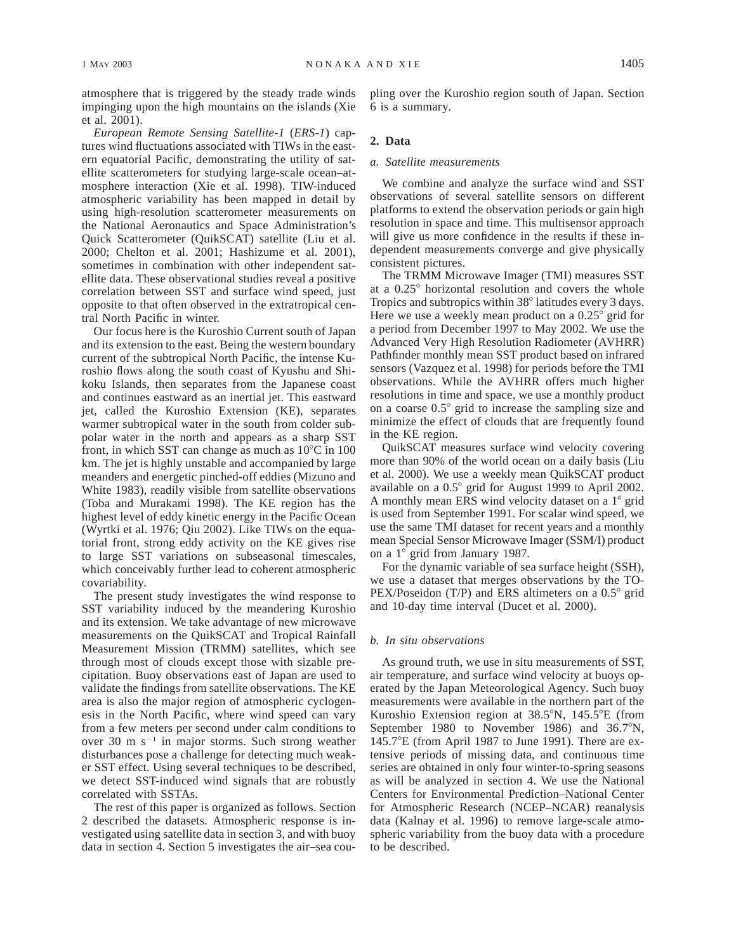atmosphere that is triggered by the steady trade winds impinging upon the high mountains on the islands (Xie et al. 2001).

*European Remote Sensing Satellite-1* (*ERS-1*) captures wind fluctuations associated with TIWs in the eastern equatorial Pacific, demonstrating the utility of satellite scatterometers for studying large-scale ocean–atmosphere interaction (Xie et al. 1998). TIW-induced atmospheric variability has been mapped in detail by using high-resolution scatterometer measurements on the National Aeronautics and Space Administration's Quick Scatterometer (QuikSCAT) satellite (Liu et al. 2000; Chelton et al. 2001; Hashizume et al. 2001), sometimes in combination with other independent satellite data. These observational studies reveal a positive correlation between SST and surface wind speed, just opposite to that often observed in the extratropical central North Pacific in winter.

Our focus here is the Kuroshio Current south of Japan and its extension to the east. Being the western boundary current of the subtropical North Pacific, the intense Kuroshio flows along the south coast of Kyushu and Shikoku Islands, then separates from the Japanese coast and continues eastward as an inertial jet. This eastward jet, called the Kuroshio Extension (KE), separates warmer subtropical water in the south from colder subpolar water in the north and appears as a sharp SST front, in which SST can change as much as  $10^{\circ}$ C in  $100$ km. The jet is highly unstable and accompanied by large meanders and energetic pinched-off eddies (Mizuno and White 1983), readily visible from satellite observations (Toba and Murakami 1998). The KE region has the highest level of eddy kinetic energy in the Pacific Ocean (Wyrtki et al. 1976; Qiu 2002). Like TIWs on the equatorial front, strong eddy activity on the KE gives rise to large SST variations on subseasonal timescales, which conceivably further lead to coherent atmospheric covariability.

The present study investigates the wind response to SST variability induced by the meandering Kuroshio and its extension. We take advantage of new microwave measurements on the QuikSCAT and Tropical Rainfall Measurement Mission (TRMM) satellites, which see through most of clouds except those with sizable precipitation. Buoy observations east of Japan are used to validate the findings from satellite observations. The KE area is also the major region of atmospheric cyclogenesis in the North Pacific, where wind speed can vary from a few meters per second under calm conditions to over 30 m  $s^{-1}$  in major storms. Such strong weather disturbances pose a challenge for detecting much weaker SST effect. Using several techniques to be described, we detect SST-induced wind signals that are robustly correlated with SSTAs.

The rest of this paper is organized as follows. Section 2 described the datasets. Atmospheric response is investigated using satellite data in section 3, and with buoy data in section 4. Section 5 investigates the air–sea coupling over the Kuroshio region south of Japan. Section 6 is a summary.

## **2. Data**

#### *a. Satellite measurements*

We combine and analyze the surface wind and SST observations of several satellite sensors on different platforms to extend the observation periods or gain high resolution in space and time. This multisensor approach will give us more confidence in the results if these independent measurements converge and give physically consistent pictures.

The TRMM Microwave Imager (TMI) measures SST at a  $0.25^{\circ}$  horizontal resolution and covers the whole Tropics and subtropics within 38° latitudes every 3 days. Here we use a weekly mean product on a  $0.25^{\circ}$  grid for a period from December 1997 to May 2002. We use the Advanced Very High Resolution Radiometer (AVHRR) Pathfinder monthly mean SST product based on infrared sensors (Vazquez et al. 1998) for periods before the TMI observations. While the AVHRR offers much higher resolutions in time and space, we use a monthly product on a coarse  $0.5^{\circ}$  grid to increase the sampling size and minimize the effect of clouds that are frequently found in the KE region.

QuikSCAT measures surface wind velocity covering more than 90% of the world ocean on a daily basis (Liu et al. 2000). We use a weekly mean QuikSCAT product available on a  $0.5^{\circ}$  grid for August 1999 to April 2002. A monthly mean ERS wind velocity dataset on a  $1^\circ$  grid is used from September 1991. For scalar wind speed, we use the same TMI dataset for recent years and a monthly mean Special Sensor Microwave Imager (SSM/I) product on a 1° grid from January 1987.

For the dynamic variable of sea surface height (SSH), we use a dataset that merges observations by the TO- $PEX/Poseidon$  (T/P) and ERS altimeters on a  $0.5^{\circ}$  grid and 10-day time interval (Ducet et al. 2000).

### *b. In situ observations*

As ground truth, we use in situ measurements of SST, air temperature, and surface wind velocity at buoys operated by the Japan Meteorological Agency. Such buoy measurements were available in the northern part of the Kuroshio Extension region at  $38.5^{\circ}N$ ,  $145.5^{\circ}E$  (from September 1980 to November 1986) and  $36.7^{\circ}$ N, 145.7°E (from April 1987 to June 1991). There are extensive periods of missing data, and continuous time series are obtained in only four winter-to-spring seasons as will be analyzed in section 4. We use the National Centers for Environmental Prediction–National Center for Atmospheric Research (NCEP–NCAR) reanalysis data (Kalnay et al. 1996) to remove large-scale atmospheric variability from the buoy data with a procedure to be described.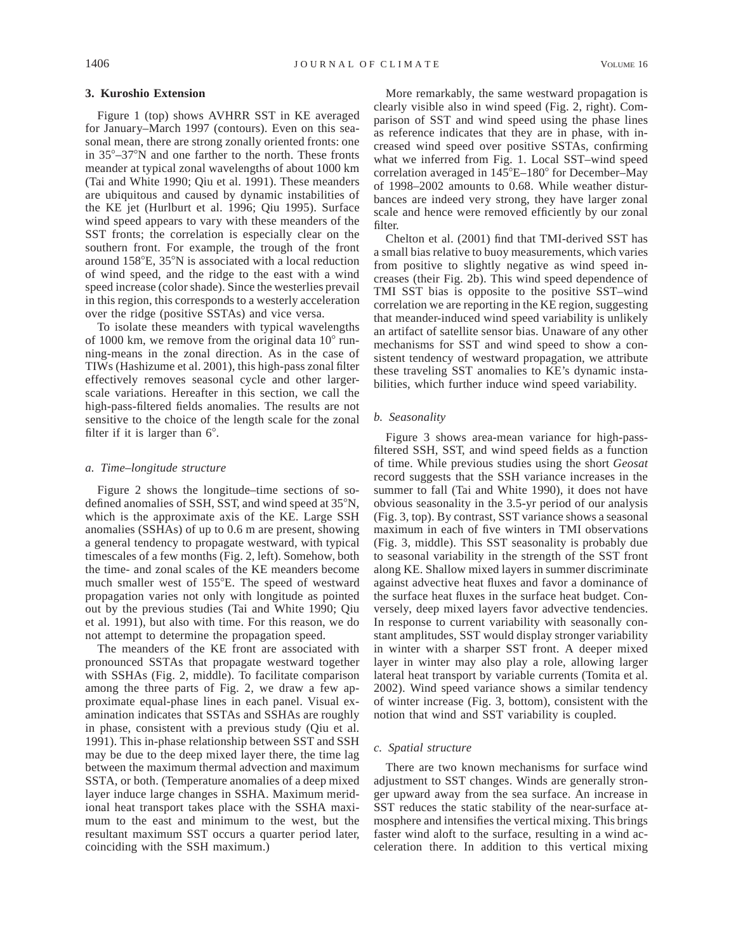### **3. Kuroshio Extension**

Figure 1 (top) shows AVHRR SST in KE averaged for January–March 1997 (contours). Even on this seasonal mean, there are strong zonally oriented fronts: one in  $35^{\circ}$ –37°N and one farther to the north. These fronts meander at typical zonal wavelengths of about 1000 km (Tai and White 1990; Qiu et al. 1991). These meanders are ubiquitous and caused by dynamic instabilities of the KE jet (Hurlburt et al. 1996; Qiu 1995). Surface wind speed appears to vary with these meanders of the SST fronts; the correlation is especially clear on the southern front. For example, the trough of the front around  $158^{\circ}E$ ,  $35^{\circ}N$  is associated with a local reduction of wind speed, and the ridge to the east with a wind speed increase (color shade). Since the westerlies prevail in this region, this corresponds to a westerly acceleration over the ridge (positive SSTAs) and vice versa.

To isolate these meanders with typical wavelengths of 1000 km, we remove from the original data  $10^{\circ}$  running-means in the zonal direction. As in the case of TIWs (Hashizume et al. 2001), this high-pass zonal filter effectively removes seasonal cycle and other largerscale variations. Hereafter in this section, we call the high-pass-filtered fields anomalies. The results are not sensitive to the choice of the length scale for the zonal filter if it is larger than  $6^\circ$ .

#### *a. Time–longitude structure*

Figure 2 shows the longitude–time sections of sodefined anomalies of SSH, SST, and wind speed at  $35^{\circ}$ N, which is the approximate axis of the KE. Large SSH anomalies (SSHAs) of up to 0.6 m are present, showing a general tendency to propagate westward, with typical timescales of a few months (Fig. 2, left). Somehow, both the time- and zonal scales of the KE meanders become much smaller west of 155°E. The speed of westward propagation varies not only with longitude as pointed out by the previous studies (Tai and White 1990; Qiu et al. 1991), but also with time. For this reason, we do not attempt to determine the propagation speed.

The meanders of the KE front are associated with pronounced SSTAs that propagate westward together with SSHAs (Fig. 2, middle). To facilitate comparison among the three parts of Fig. 2, we draw a few approximate equal-phase lines in each panel. Visual examination indicates that SSTAs and SSHAs are roughly in phase, consistent with a previous study (Qiu et al. 1991). This in-phase relationship between SST and SSH may be due to the deep mixed layer there, the time lag between the maximum thermal advection and maximum SSTA, or both. (Temperature anomalies of a deep mixed layer induce large changes in SSHA. Maximum meridional heat transport takes place with the SSHA maximum to the east and minimum to the west, but the resultant maximum SST occurs a quarter period later, coinciding with the SSH maximum.)

More remarkably, the same westward propagation is clearly visible also in wind speed (Fig. 2, right). Comparison of SST and wind speed using the phase lines as reference indicates that they are in phase, with increased wind speed over positive SSTAs, confirming what we inferred from Fig. 1. Local SST–wind speed correlation averaged in  $145^{\circ}E-180^{\circ}$  for December–May of 1998–2002 amounts to 0.68. While weather disturbances are indeed very strong, they have larger zonal scale and hence were removed efficiently by our zonal filter.

Chelton et al. (2001) find that TMI-derived SST has a small bias relative to buoy measurements, which varies from positive to slightly negative as wind speed increases (their Fig. 2b). This wind speed dependence of TMI SST bias is opposite to the positive SST–wind correlation we are reporting in the KE region, suggesting that meander-induced wind speed variability is unlikely an artifact of satellite sensor bias. Unaware of any other mechanisms for SST and wind speed to show a consistent tendency of westward propagation, we attribute these traveling SST anomalies to KE's dynamic instabilities, which further induce wind speed variability.

#### *b. Seasonality*

Figure 3 shows area-mean variance for high-passfiltered SSH, SST, and wind speed fields as a function of time. While previous studies using the short *Geosat* record suggests that the SSH variance increases in the summer to fall (Tai and White 1990), it does not have obvious seasonality in the 3.5-yr period of our analysis (Fig. 3, top). By contrast, SST variance shows a seasonal maximum in each of five winters in TMI observations (Fig. 3, middle). This SST seasonality is probably due to seasonal variability in the strength of the SST front along KE. Shallow mixed layers in summer discriminate against advective heat fluxes and favor a dominance of the surface heat fluxes in the surface heat budget. Conversely, deep mixed layers favor advective tendencies. In response to current variability with seasonally constant amplitudes, SST would display stronger variability in winter with a sharper SST front. A deeper mixed layer in winter may also play a role, allowing larger lateral heat transport by variable currents (Tomita et al. 2002). Wind speed variance shows a similar tendency of winter increase (Fig. 3, bottom), consistent with the notion that wind and SST variability is coupled.

#### *c. Spatial structure*

There are two known mechanisms for surface wind adjustment to SST changes. Winds are generally stronger upward away from the sea surface. An increase in SST reduces the static stability of the near-surface atmosphere and intensifies the vertical mixing. This brings faster wind aloft to the surface, resulting in a wind acceleration there. In addition to this vertical mixing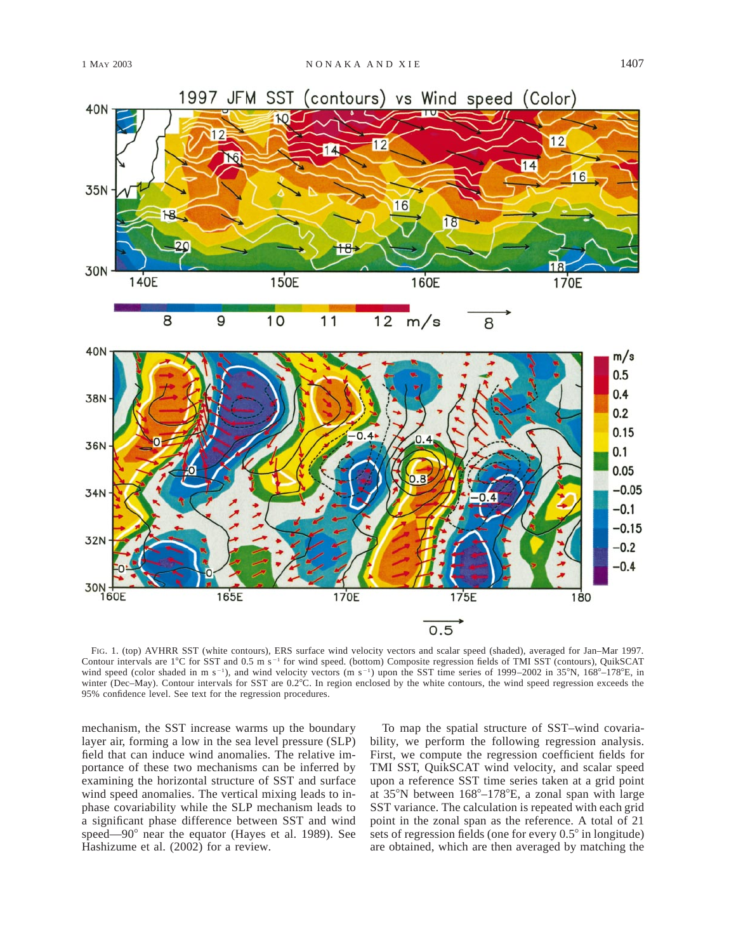

FIG. 1. (top) AVHRR SST (white contours), ERS surface wind velocity vectors and scalar speed (shaded), averaged for Jan–Mar 1997. Contour intervals are  $1^{\circ}$ C for SST and 0.5 m s<sup>-1</sup> for wind speed. (bottom) Composite regression fields of TMI SST (contours), QuikSCAT wind speed (color shaded in m s<sup>-1</sup>), and wind velocity vectors (m s<sup>-1</sup>) upon the SST time series of 1999–2002 in 35°N, 168°–178°E, in winter (Dec–May). Contour intervals for SST are  $0.2^{\circ}$ C. In region enclosed by the white contours, the wind speed regression exceeds the 95% confidence level. See text for the regression procedures.

mechanism, the SST increase warms up the boundary layer air, forming a low in the sea level pressure (SLP) field that can induce wind anomalies. The relative importance of these two mechanisms can be inferred by examining the horizontal structure of SST and surface wind speed anomalies. The vertical mixing leads to inphase covariability while the SLP mechanism leads to a significant phase difference between SST and wind speed—90 $^{\circ}$  near the equator (Hayes et al. 1989). See Hashizume et al. (2002) for a review.

To map the spatial structure of SST–wind covariability, we perform the following regression analysis. First, we compute the regression coefficient fields for TMI SST, QuikSCAT wind velocity, and scalar speed upon a reference SST time series taken at a grid point at  $35^{\circ}$ N between  $168^{\circ}-178^{\circ}$ E, a zonal span with large SST variance. The calculation is repeated with each grid point in the zonal span as the reference. A total of 21 sets of regression fields (one for every  $0.5^\circ$  in longitude) are obtained, which are then averaged by matching the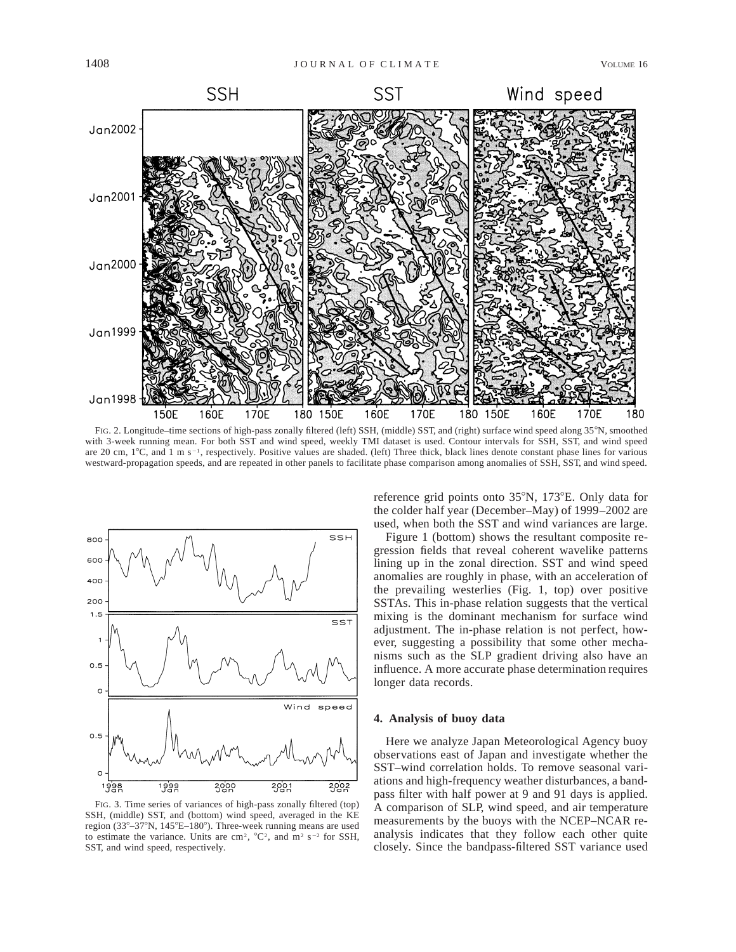

FIG. 2. Longitude–time sections of high-pass zonally filtered (left) SSH, (middle) SST, and (right) surface wind speed along 35°N, smoothed with 3-week running mean. For both SST and wind speed, weekly TMI dataset is used. Contour intervals for SSH, SST, and wind speed are 20 cm,  $1^{\circ}$ C, and 1 m s<sup>-1</sup>, respectively. Positive values are shaded. (left) Three thick, black lines denote constant phase lines for various westward-propagation speeds, and are repeated in other panels to facilitate phase comparison among anomalies of SSH, SST, and wind speed.



FIG. 3. Time series of variances of high-pass zonally filtered (top) SSH, (middle) SST, and (bottom) wind speed, averaged in the KE region (33°-37°N, 145°E-180°). Three-week running means are used to estimate the variance. Units are cm<sup>2</sup>,  $^{\circ}C^2$ , and m<sup>2</sup> s<sup>-2</sup> for SSH, SST, and wind speed, respectively.

reference grid points onto  $35^{\circ}$ N,  $173^{\circ}$ E. Only data for the colder half year (December–May) of 1999–2002 are used, when both the SST and wind variances are large.

Figure 1 (bottom) shows the resultant composite regression fields that reveal coherent wavelike patterns lining up in the zonal direction. SST and wind speed anomalies are roughly in phase, with an acceleration of the prevailing westerlies (Fig. 1, top) over positive SSTAs. This in-phase relation suggests that the vertical mixing is the dominant mechanism for surface wind adjustment. The in-phase relation is not perfect, however, suggesting a possibility that some other mechanisms such as the SLP gradient driving also have an influence. A more accurate phase determination requires longer data records.

#### **4. Analysis of buoy data**

Here we analyze Japan Meteorological Agency buoy observations east of Japan and investigate whether the SST–wind correlation holds. To remove seasonal variations and high-frequency weather disturbances, a bandpass filter with half power at 9 and 91 days is applied. A comparison of SLP, wind speed, and air temperature measurements by the buoys with the NCEP–NCAR reanalysis indicates that they follow each other quite closely. Since the bandpass-filtered SST variance used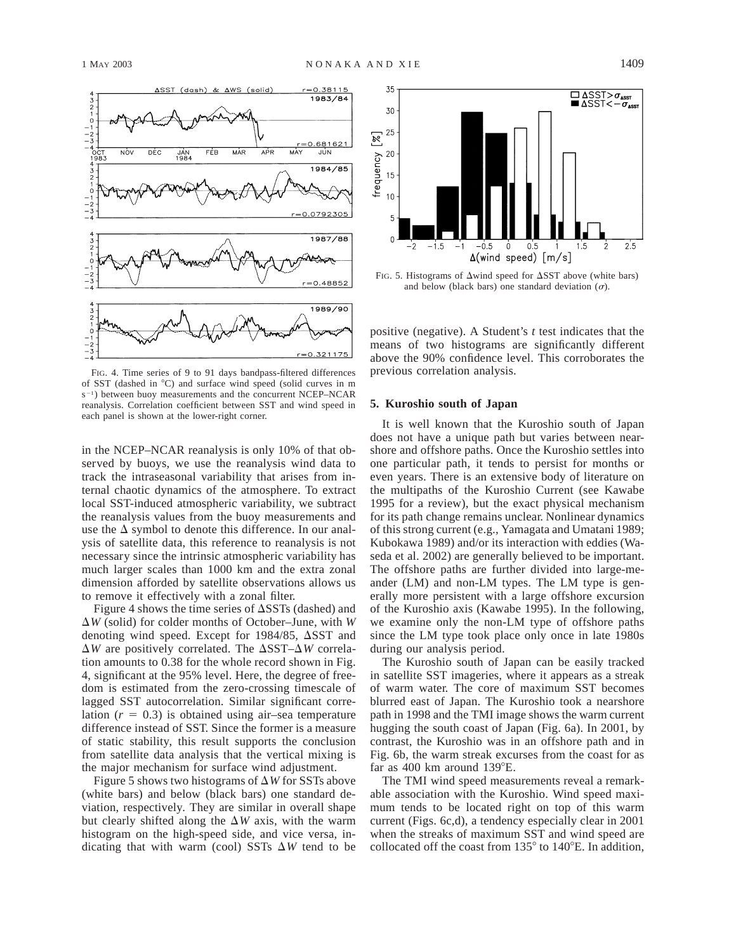



FIG. 5. Histograms of  $\Delta$ wind speed for  $\Delta SST$  above (white bars) and below (black bars) one standard deviation  $(\sigma)$ .

FIG. 4. Time series of 9 to 91 days bandpass-filtered differences of SST (dashed in °C) and surface wind speed (solid curves in m  $s^{-1}$ ) between buoy measurements and the concurrent NCEP–NCAR reanalysis. Correlation coefficient between SST and wind speed in each panel is shown at the lower-right corner.

in the NCEP–NCAR reanalysis is only 10% of that observed by buoys, we use the reanalysis wind data to track the intraseasonal variability that arises from internal chaotic dynamics of the atmosphere. To extract local SST-induced atmospheric variability, we subtract the reanalysis values from the buoy measurements and use the  $\Delta$  symbol to denote this difference. In our analysis of satellite data, this reference to reanalysis is not necessary since the intrinsic atmospheric variability has much larger scales than 1000 km and the extra zonal dimension afforded by satellite observations allows us to remove it effectively with a zonal filter.

Figure 4 shows the time series of  $\Delta$ SSTs (dashed) and  $\Delta W$  (solid) for colder months of October–June, with *W* denoting wind speed. Except for 1984/85,  $\Delta SST$  and  $\Delta W$  are positively correlated. The  $\Delta SST-\Delta W$  correlation amounts to 0.38 for the whole record shown in Fig. 4, significant at the 95% level. Here, the degree of freedom is estimated from the zero-crossing timescale of lagged SST autocorrelation. Similar significant correlation  $(r = 0.3)$  is obtained using air–sea temperature difference instead of SST. Since the former is a measure of static stability, this result supports the conclusion from satellite data analysis that the vertical mixing is the major mechanism for surface wind adjustment.

Figure 5 shows two histograms of  $\Delta W$  for SSTs above (white bars) and below (black bars) one standard deviation, respectively. They are similar in overall shape but clearly shifted along the  $\Delta W$  axis, with the warm histogram on the high-speed side, and vice versa, indicating that with warm (cool) SSTs  $\Delta W$  tend to be

positive (negative). A Student's *t* test indicates that the means of two histograms are significantly different above the 90% confidence level. This corroborates the previous correlation analysis.

#### **5. Kuroshio south of Japan**

It is well known that the Kuroshio south of Japan does not have a unique path but varies between nearshore and offshore paths. Once the Kuroshio settles into one particular path, it tends to persist for months or even years. There is an extensive body of literature on the multipaths of the Kuroshio Current (see Kawabe 1995 for a review), but the exact physical mechanism for its path change remains unclear. Nonlinear dynamics of this strong current (e.g., Yamagata and Umatani 1989; Kubokawa 1989) and/or its interaction with eddies (Waseda et al. 2002) are generally believed to be important. The offshore paths are further divided into large-meander (LM) and non-LM types. The LM type is generally more persistent with a large offshore excursion of the Kuroshio axis (Kawabe 1995). In the following, we examine only the non-LM type of offshore paths since the LM type took place only once in late 1980s during our analysis period.

The Kuroshio south of Japan can be easily tracked in satellite SST imageries, where it appears as a streak of warm water. The core of maximum SST becomes blurred east of Japan. The Kuroshio took a nearshore path in 1998 and the TMI image shows the warm current hugging the south coast of Japan (Fig. 6a). In 2001, by contrast, the Kuroshio was in an offshore path and in Fig. 6b, the warm streak excurses from the coast for as far as  $400$  km around  $139^{\circ}$ E.

The TMI wind speed measurements reveal a remarkable association with the Kuroshio. Wind speed maximum tends to be located right on top of this warm current (Figs. 6c,d), a tendency especially clear in 2001 when the streaks of maximum SST and wind speed are collocated off the coast from  $135^{\circ}$  to  $140^{\circ}$ E. In addition,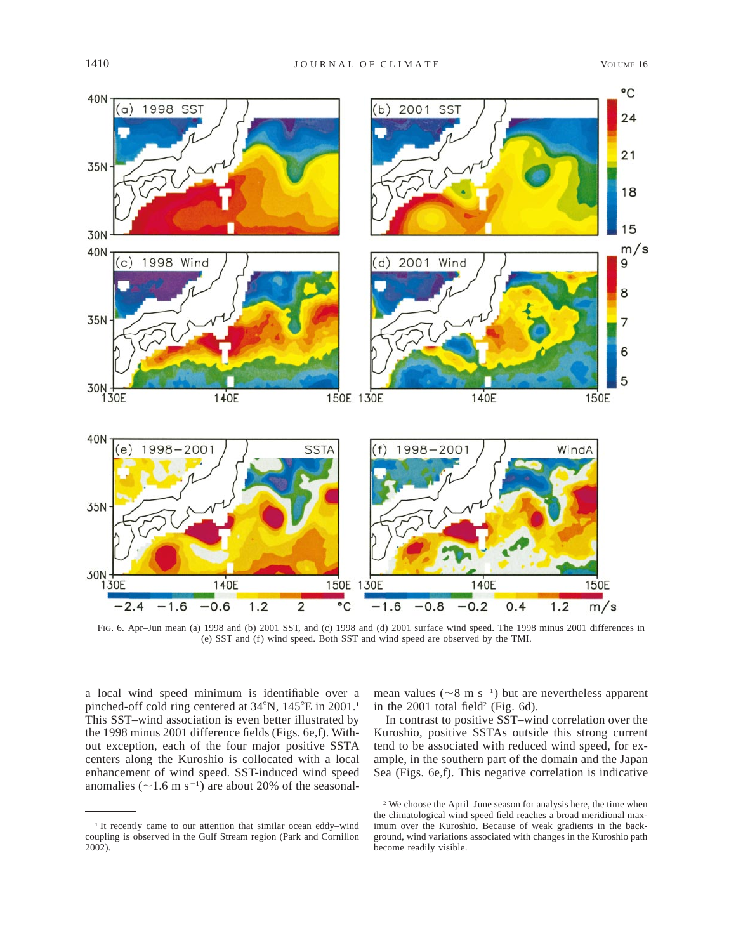

FIG. 6. Apr–Jun mean (a) 1998 and (b) 2001 SST, and (c) 1998 and (d) 2001 surface wind speed. The 1998 minus 2001 differences in (e) SST and (f) wind speed. Both SST and wind speed are observed by the TMI.

a local wind speed minimum is identifiable over a pinched-off cold ring centered at 34°N, 145°E in 2001.<sup>1</sup> This SST–wind association is even better illustrated by the 1998 minus 2001 difference fields (Figs. 6e,f). Without exception, each of the four major positive SSTA centers along the Kuroshio is collocated with a local enhancement of wind speed. SST-induced wind speed anomalies ( $\sim$ 1.6 m s<sup>-1</sup>) are about 20% of the seasonalmean values ( $\sim$ 8 m s<sup>-1</sup>) but are nevertheless apparent in the  $2001$  total field<sup>2</sup> (Fig. 6d).

In contrast to positive SST–wind correlation over the Kuroshio, positive SSTAs outside this strong current tend to be associated with reduced wind speed, for example, in the southern part of the domain and the Japan Sea (Figs. 6e,f). This negative correlation is indicative

<sup>1</sup> It recently came to our attention that similar ocean eddy–wind coupling is observed in the Gulf Stream region (Park and Cornillon 2002).

<sup>2</sup> We choose the April–June season for analysis here, the time when the climatological wind speed field reaches a broad meridional maximum over the Kuroshio. Because of weak gradients in the background, wind variations associated with changes in the Kuroshio path become readily visible.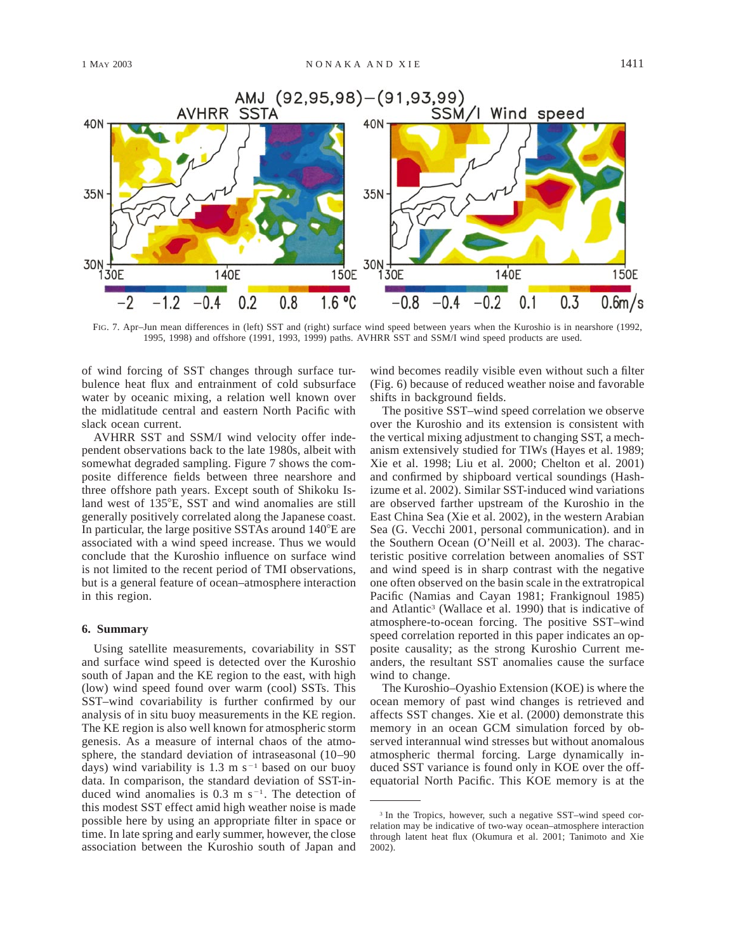

FIG. 7. Apr–Jun mean differences in (left) SST and (right) surface wind speed between years when the Kuroshio is in nearshore (1992, 1995, 1998) and offshore (1991, 1993, 1999) paths. AVHRR SST and SSM/I wind speed products are used.

of wind forcing of SST changes through surface turbulence heat flux and entrainment of cold subsurface water by oceanic mixing, a relation well known over the midlatitude central and eastern North Pacific with slack ocean current.

AVHRR SST and SSM/I wind velocity offer independent observations back to the late 1980s, albeit with somewhat degraded sampling. Figure 7 shows the composite difference fields between three nearshore and three offshore path years. Except south of Shikoku Island west of  $135^{\circ}E$ , SST and wind anomalies are still generally positively correlated along the Japanese coast. In particular, the large positive SSTAs around  $140^{\circ}E$  are associated with a wind speed increase. Thus we would conclude that the Kuroshio influence on surface wind is not limited to the recent period of TMI observations, but is a general feature of ocean–atmosphere interaction in this region.

#### **6. Summary**

Using satellite measurements, covariability in SST and surface wind speed is detected over the Kuroshio south of Japan and the KE region to the east, with high (low) wind speed found over warm (cool) SSTs. This SST–wind covariability is further confirmed by our analysis of in situ buoy measurements in the KE region. The KE region is also well known for atmospheric storm genesis. As a measure of internal chaos of the atmosphere, the standard deviation of intraseasonal (10–90 days) wind variability is 1.3 m  $s^{-1}$  based on our buoy data. In comparison, the standard deviation of SST-induced wind anomalies is  $0.3 \text{ m s}^{-1}$ . The detection of this modest SST effect amid high weather noise is made possible here by using an appropriate filter in space or time. In late spring and early summer, however, the close association between the Kuroshio south of Japan and

wind becomes readily visible even without such a filter (Fig. 6) because of reduced weather noise and favorable shifts in background fields.

The positive SST–wind speed correlation we observe over the Kuroshio and its extension is consistent with the vertical mixing adjustment to changing SST, a mechanism extensively studied for TIWs (Hayes et al. 1989; Xie et al. 1998; Liu et al. 2000; Chelton et al. 2001) and confirmed by shipboard vertical soundings (Hashizume et al. 2002). Similar SST-induced wind variations are observed farther upstream of the Kuroshio in the East China Sea (Xie et al. 2002), in the western Arabian Sea (G. Vecchi 2001, personal communication). and in the Southern Ocean (O'Neill et al. 2003). The characteristic positive correlation between anomalies of SST and wind speed is in sharp contrast with the negative one often observed on the basin scale in the extratropical Pacific (Namias and Cayan 1981; Frankignoul 1985) and Atlantic<sup>3</sup> (Wallace et al. 1990) that is indicative of atmosphere-to-ocean forcing. The positive SST–wind speed correlation reported in this paper indicates an opposite causality; as the strong Kuroshio Current meanders, the resultant SST anomalies cause the surface wind to change.

The Kuroshio–Oyashio Extension (KOE) is where the ocean memory of past wind changes is retrieved and affects SST changes. Xie et al. (2000) demonstrate this memory in an ocean GCM simulation forced by observed interannual wind stresses but without anomalous atmospheric thermal forcing. Large dynamically induced SST variance is found only in KOE over the offequatorial North Pacific. This KOE memory is at the

<sup>&</sup>lt;sup>3</sup> In the Tropics, however, such a negative SST–wind speed correlation may be indicative of two-way ocean–atmosphere interaction through latent heat flux (Okumura et al. 2001; Tanimoto and Xie 2002).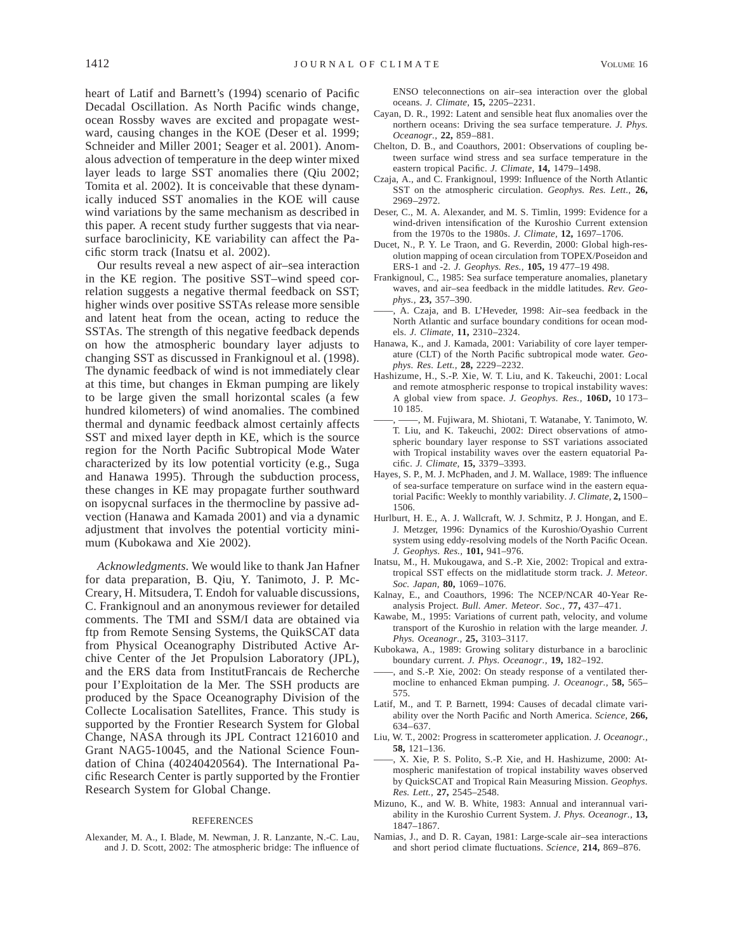heart of Latif and Barnett's (1994) scenario of Pacific Decadal Oscillation. As North Pacific winds change, ocean Rossby waves are excited and propagate westward, causing changes in the KOE (Deser et al. 1999; Schneider and Miller 2001; Seager et al. 2001). Anomalous advection of temperature in the deep winter mixed layer leads to large SST anomalies there (Qiu 2002; Tomita et al. 2002). It is conceivable that these dynamically induced SST anomalies in the KOE will cause wind variations by the same mechanism as described in this paper. A recent study further suggests that via nearsurface baroclinicity, KE variability can affect the Pacific storm track (Inatsu et al. 2002).

Our results reveal a new aspect of air–sea interaction in the KE region. The positive SST–wind speed correlation suggests a negative thermal feedback on SST; higher winds over positive SSTAs release more sensible and latent heat from the ocean, acting to reduce the SSTAs. The strength of this negative feedback depends on how the atmospheric boundary layer adjusts to changing SST as discussed in Frankignoul et al. (1998). The dynamic feedback of wind is not immediately clear at this time, but changes in Ekman pumping are likely to be large given the small horizontal scales (a few hundred kilometers) of wind anomalies. The combined thermal and dynamic feedback almost certainly affects SST and mixed layer depth in KE, which is the source region for the North Pacific Subtropical Mode Water characterized by its low potential vorticity (e.g., Suga and Hanawa 1995). Through the subduction process, these changes in KE may propagate further southward on isopycnal surfaces in the thermocline by passive advection (Hanawa and Kamada 2001) and via a dynamic adjustment that involves the potential vorticity minimum (Kubokawa and Xie 2002).

*Acknowledgments.* We would like to thank Jan Hafner for data preparation, B. Qiu, Y. Tanimoto, J. P. Mc-Creary, H. Mitsudera, T. Endoh for valuable discussions, C. Frankignoul and an anonymous reviewer for detailed comments. The TMI and SSM/I data are obtained via ftp from Remote Sensing Systems, the QuikSCAT data from Physical Oceanography Distributed Active Archive Center of the Jet Propulsion Laboratory (JPL), and the ERS data from InstitutFrancais de Recherche pour I'Exploitation de la Mer. The SSH products are produced by the Space Oceanography Division of the Collecte Localisation Satellites, France. This study is supported by the Frontier Research System for Global Change, NASA through its JPL Contract 1216010 and Grant NAG5-10045, and the National Science Foundation of China (40240420564). The International Pacific Research Center is partly supported by the Frontier Research System for Global Change.

#### REFERENCES

Alexander, M. A., I. Blade, M. Newman, J. R. Lanzante, N.-C. Lau, and J. D. Scott, 2002: The atmospheric bridge: The influence of ENSO teleconnections on air–sea interaction over the global oceans. *J. Climate,* **15,** 2205–2231.

- Cayan, D. R., 1992: Latent and sensible heat flux anomalies over the northern oceans: Driving the sea surface temperature. *J. Phys. Oceanogr.,* **22,** 859–881.
- Chelton, D. B., and Coauthors, 2001: Observations of coupling between surface wind stress and sea surface temperature in the eastern tropical Pacific. *J. Climate,* **14,** 1479–1498.
- Czaja, A., and C. Frankignoul, 1999: Influence of the North Atlantic SST on the atmospheric circulation. *Geophys. Res. Lett.,* **26,** 2969–2972.
- Deser, C., M. A. Alexander, and M. S. Timlin, 1999: Evidence for a wind-driven intensification of the Kuroshio Current extension from the 1970s to the 1980s. *J. Climate,* **12,** 1697–1706.
- Ducet, N., P. Y. Le Traon, and G. Reverdin, 2000: Global high-resolution mapping of ocean circulation from TOPEX/Poseidon and ERS-1 and -2. *J. Geophys. Res.,* **105,** 19 477–19 498.
- Frankignoul, C., 1985: Sea surface temperature anomalies, planetary waves, and air–sea feedback in the middle latitudes. *Rev. Geophys.,* **23,** 357–390.
- A. Czaja, and B. L'Heveder, 1998: Air-sea feedback in the North Atlantic and surface boundary conditions for ocean models. *J. Climate,* **11,** 2310–2324.
- Hanawa, K., and J. Kamada, 2001: Variability of core layer temperature (CLT) of the North Pacific subtropical mode water. *Geophys. Res. Lett.,* **28,** 2229–2232.
- Hashizume, H., S.-P. Xie, W. T. Liu, and K. Takeuchi, 2001: Local and remote atmospheric response to tropical instability waves: A global view from space. *J. Geophys. Res.,* **106D,** 10 173– 10 185.
- ——, ——, M. Fujiwara, M. Shiotani, T. Watanabe, Y. Tanimoto, W. T. Liu, and K. Takeuchi, 2002: Direct observations of atmospheric boundary layer response to SST variations associated with Tropical instability waves over the eastern equatorial Pacific. *J. Climate,* **15,** 3379–3393.
- Hayes, S. P., M. J. McPhaden, and J. M. Wallace, 1989: The influence of sea-surface temperature on surface wind in the eastern equatorial Pacific: Weekly to monthly variability. *J. Climate,* **2,** 1500– 1506.
- Hurlburt, H. E., A. J. Wallcraft, W. J. Schmitz, P. J. Hongan, and E. J. Metzger, 1996: Dynamics of the Kuroshio/Oyashio Current system using eddy-resolving models of the North Pacific Ocean. *J. Geophys. Res.,* **101,** 941–976.
- Inatsu, M., H. Mukougawa, and S.-P. Xie, 2002: Tropical and extratropical SST effects on the midlatitude storm track. *J. Meteor. Soc. Japan,* **80,** 1069–1076.
- Kalnay, E., and Coauthors, 1996: The NCEP/NCAR 40-Year Reanalysis Project. *Bull. Amer. Meteor. Soc.,* **77,** 437–471.
- Kawabe, M., 1995: Variations of current path, velocity, and volume transport of the Kuroshio in relation with the large meander. *J. Phys. Oceanogr.,* **25,** 3103–3117.
- Kubokawa, A., 1989: Growing solitary disturbance in a baroclinic boundary current. *J. Phys. Oceanogr.,* **19,** 182–192.
- -, and S.-P. Xie, 2002: On steady response of a ventilated thermocline to enhanced Ekman pumping. *J. Oceanogr.,* **58,** 565– 575.
- Latif, M., and T. P. Barnett, 1994: Causes of decadal climate variability over the North Pacific and North America. *Science,* **266,** 634–637.
- Liu, W. T., 2002: Progress in scatterometer application. *J. Oceanogr.,* **58,** 121–136.
- ——, X. Xie, P. S. Polito, S.-P. Xie, and H. Hashizume, 2000: Atmospheric manifestation of tropical instability waves observed by QuickSCAT and Tropical Rain Measuring Mission. *Geophys. Res. Lett.,* **27,** 2545–2548.
- Mizuno, K., and W. B. White, 1983: Annual and interannual variability in the Kuroshio Current System. *J. Phys. Oceanogr.,* **13,** 1847–1867.
- Namias, J., and D. R. Cayan, 1981: Large-scale air–sea interactions and short period climate fluctuations. *Science,* **214,** 869–876.